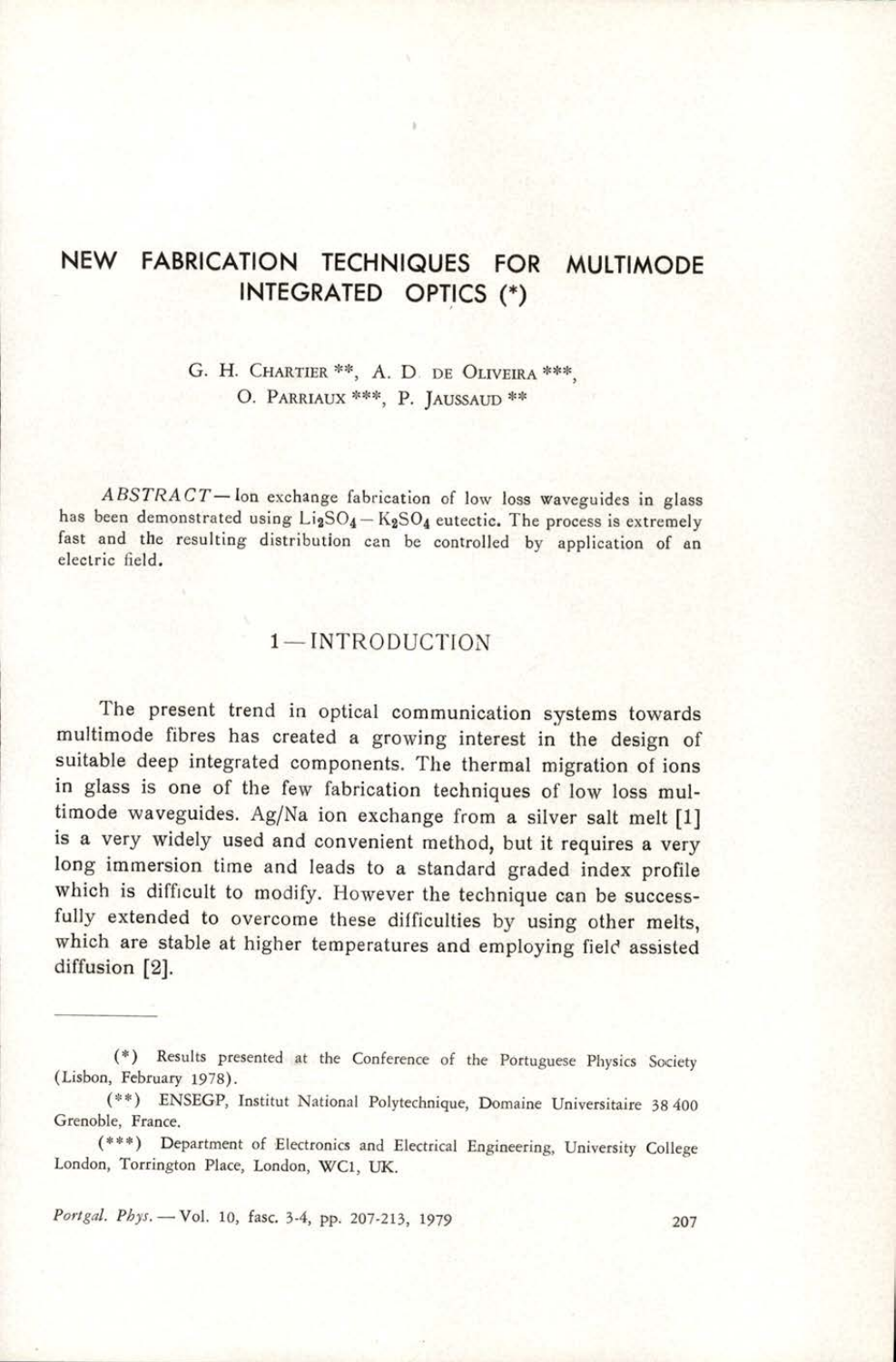# NEW FABRICATION TECHNIQUES FOR MULTIMODE INTEGRATED OPTICS (\*)

G. H. CHARTIER \*\*, A. D. DE OLIVEIRA \*\*\*, O. PARRIAUX \*\*\*, P. JAUSSAUD \*\*

 $ABSTRACT$  — lon exchange fabrication of low loss waveguides in glass<br>has been demonstrated using  $Li_2SO_4 - K_2SO_4$  eutectic. The process is extremely fast and the resulting distribution can be controlled by application of an electric field.

#### 1— INTRODUCTION

The present trend in optical communication systems towards<br>multimode fibres has created a growing interest in the design of<br>suitable deep integrated components. The thermal migration of ions<br>in glass is one of the few fabr is a very widely used and convenient method, but it requires a very long immersion time and leads to a standard graded index profile which is difficult to modify. However the technique can be successfully extended to overc which are stable at higher temperatures and employing field assisted diffusion [2].

Portgal. Phys. - Vol. 10, fasc. 3-4, pp. 207-213, 1979 207

<sup>(\*)</sup> Results presented at the Conference of the Portuguese Physics Society (Lisbon, February 1978).

<sup>(\*\*)</sup> ENSEGP, Institut National Polytechnique, Domaine Universitaire 38 400 Grenoble, France.

<sup>(\*\*\*)</sup> Department of Electronics and Electrical Engineering, University College London, Torrington Place, London, WC1, UK.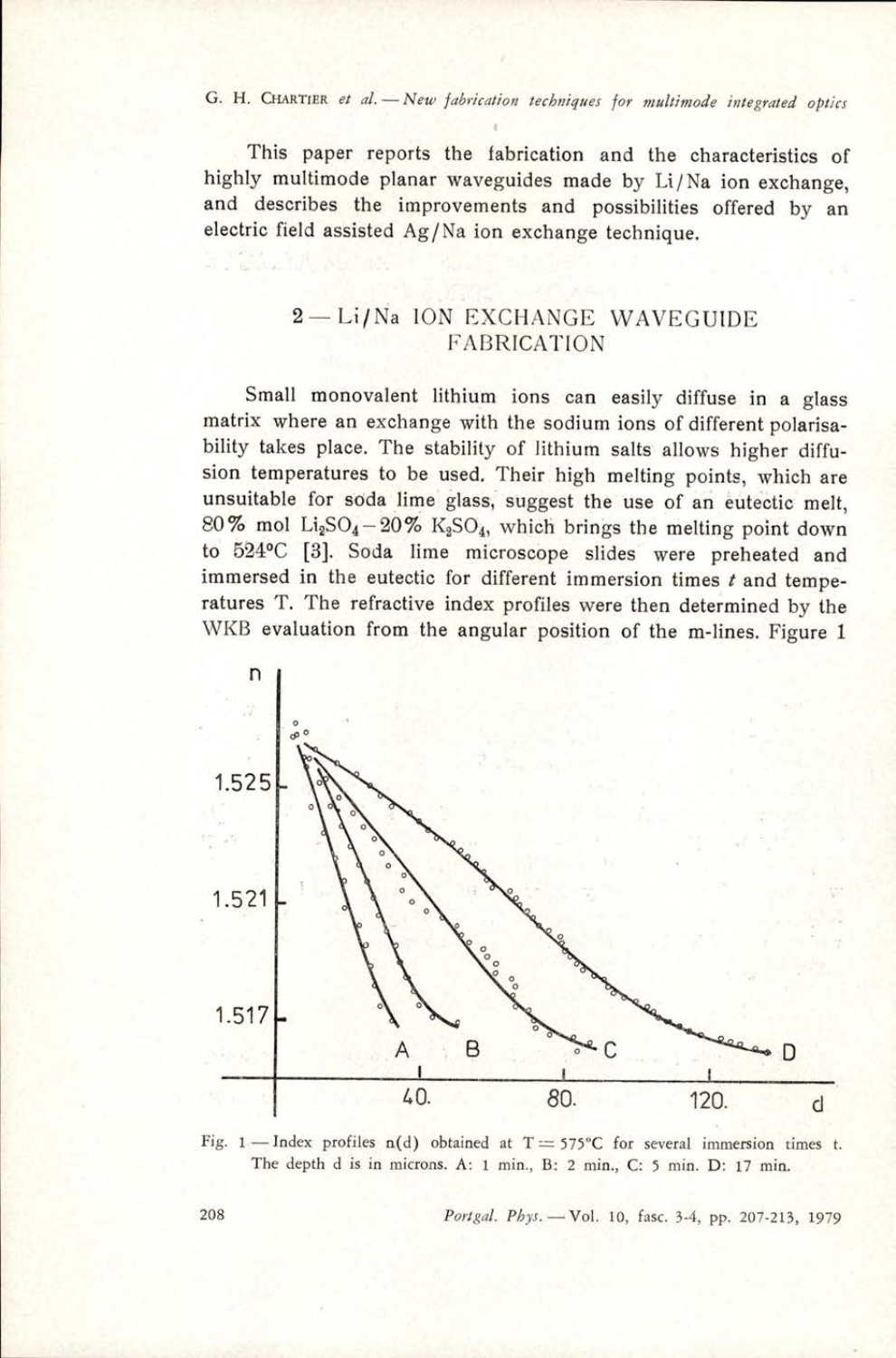This paper reports the fabrication and the characteristics of highly multimode planar waveguides made by Li/Na ion exchange, and describes the improvements and possibilities offered by an electric field assisted Ag/Na ion exchange technique.

## 2— Li/Na ION EXCHANGE WAVEGUIDE FABRICATION

Small monovalent lithium ions can easily diffuse in a glass matrix where an exchange with the sodium ions of different polarisability takes place. The stability of lithium salts allows higher diffusion temperatures to be used, Their high melting points, which are unsuitable for soda lime glass, suggest the use of an eutectic melt, 80% mol Li<sub>2</sub>SO<sub>4</sub> - 20% K<sub>2</sub>SO<sub>4</sub>, which brings the melting point down to 524°C [3]. Soda lime microscope slides were preheated and immersed in the eutectic for different immersion times  $t$  and temperatures T. The refractive index profiles were then determined by the WKB evaluation from the angular position of the m-lines. Figure 1





208 *Portgal. Phys.* - Vol. 10, fasc. 3-4, pp. 207-213, 1979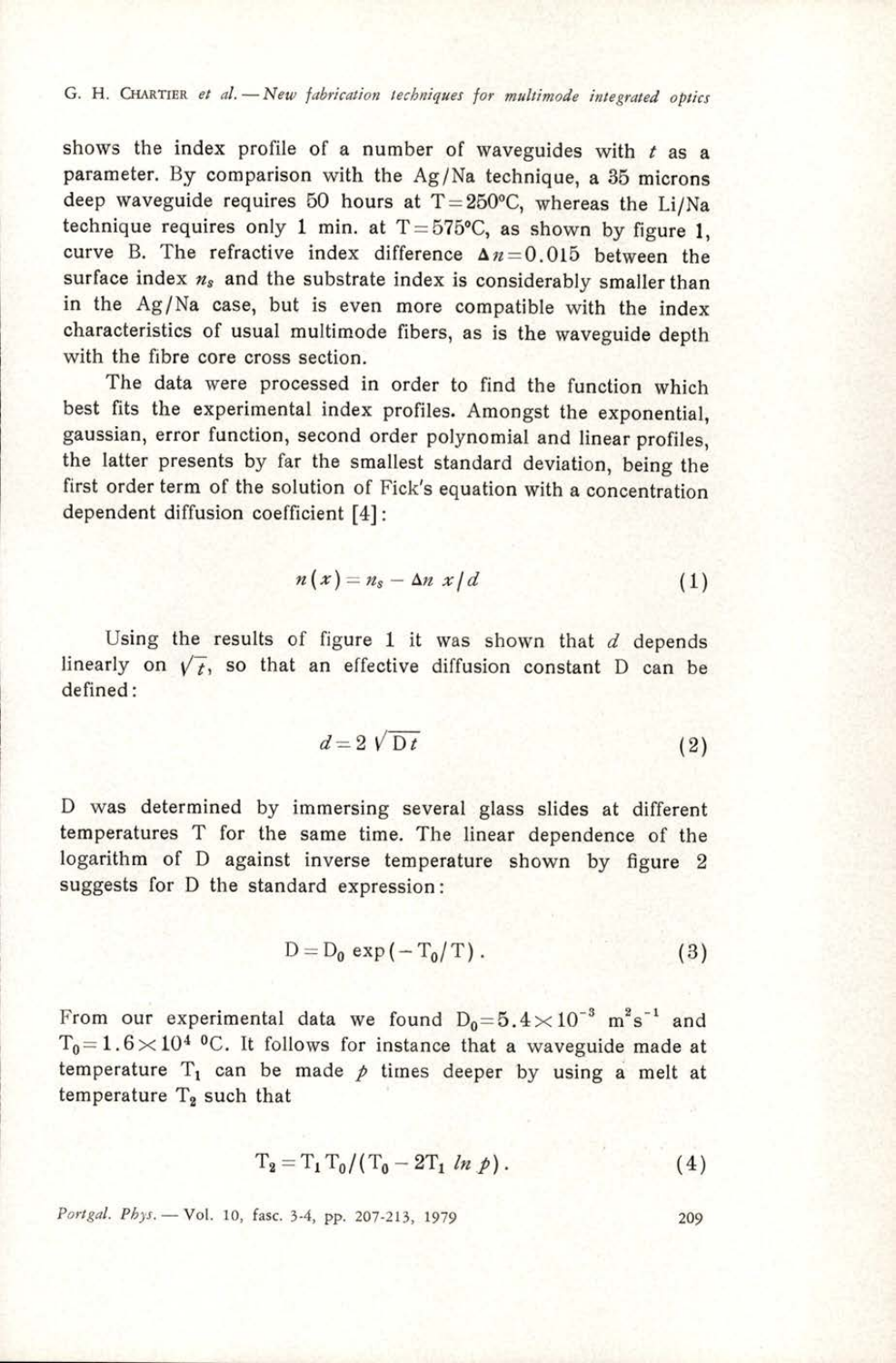shows the index profile of a number of waveguides with  $t$  as a parameter. By comparison with the Ag/Na technique, a 35 microns deep waveguide requires 50 hours at  $T = 250^{\circ}C$ , whereas the Li/Na technique requires only 1 min. at T=575°C, as shown by figure 1, curve B. The refractive index difference  $\Delta n=0.015$  between the surface index  $n_s$  and the substrate index is considerably smaller than in the Ag/Na case, but is even more compatible with the index characteristics of usual multimode fibers, as is the waveguide depth with the fibre core cross section.

The data were processed in order to find the function which best fits the experimental index profiles. Amongst the exponential, gaussian, error function, second order polynomial and linear profiles, the latter presents by far the smallest standard deviation, being the first order term of the solution of Fick's equation with a concentration dependent diffusion coefficient [4]:

$$
n(x) = n_s - \Delta n \; x/d \tag{1}
$$

Using the results of figure 1 it was shown that  $d$  depends linearly on  $\sqrt{t}$ , so that an effective diffusion constant D can be defined:

$$
d = 2\sqrt{Dt} \tag{2}
$$

D was determined by immersing several glass slides at different temperatures T for the same time. The linear dependence of the logarithm of D against inverse temperature shown by figure 2 suggests for D the standard expression:

$$
D = D_0 \exp(-T_0/T). \tag{3}
$$

From our experimental data we found  $D_0=5.4\times10^{-3} \text{ m}^2\text{s}^{-1}$  and  $T_0=1.6\times10^{4}$  °C. It follows for instance that a waveguide made at temperature  $T_1$  can be made  $p$  times deeper by using a melt at temperature  $T_2$  such that

$$
T_2 = T_1 T_0 / (T_0 - 2T_1 \ln p). \tag{4}
$$

Portgal. Phys. - Vol. 10, fasc. 3-4, pp. 207-213, 1979 209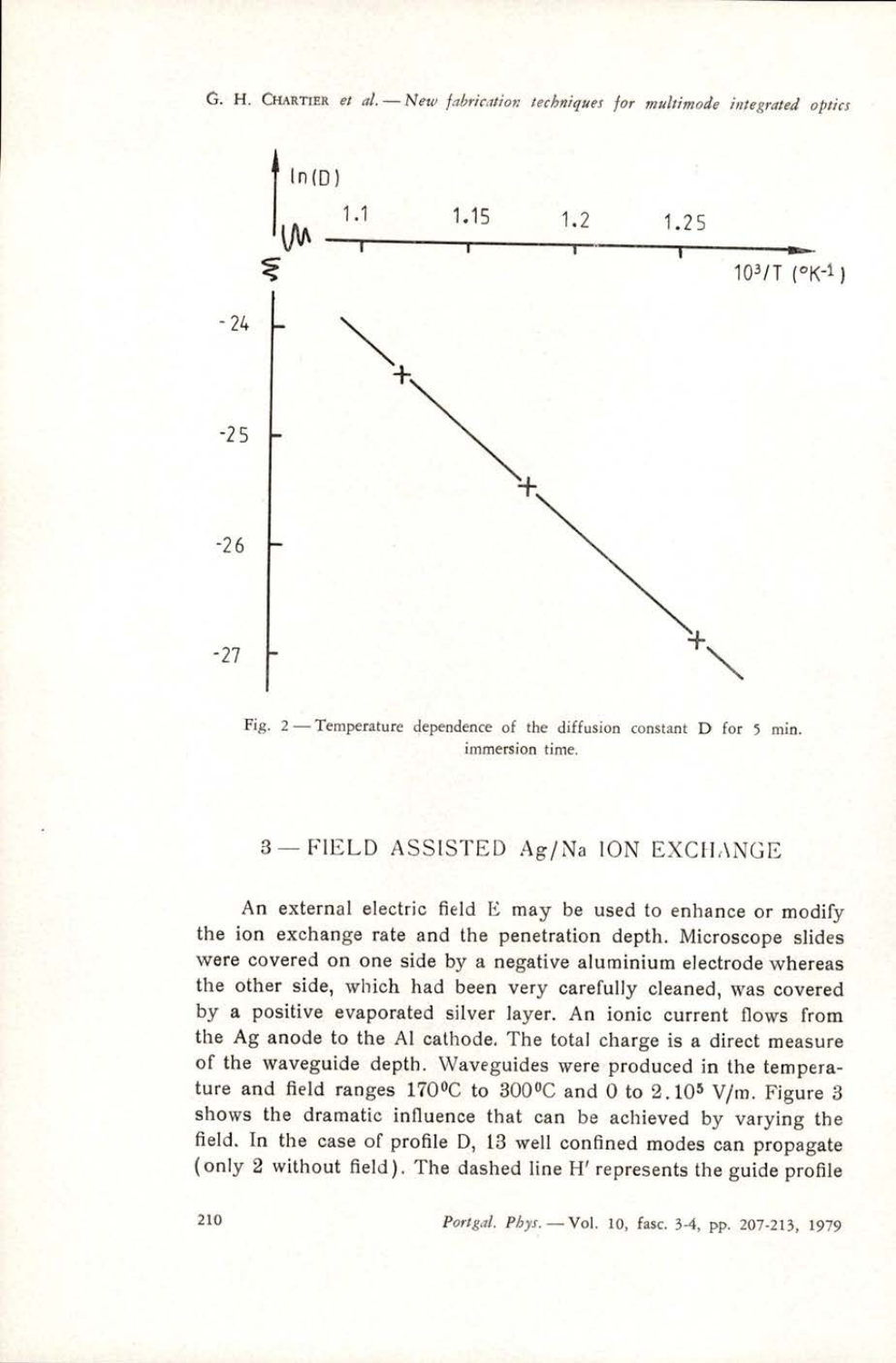

Fig. 2— Temperature dependence of the diffusion constant D for 5 min. immersion time.

## 3— FIELD ASSISTED Ag/Na ION EXCHANGE

An external electric field E may be used to enhance or modify the ion exchange rate and the penetration depth. Microscope slides were covered on one side by a negative aluminium electrode whereas the other side, which had been very carefully cleaned, was covered by a positive evaporated silver layer. An ionic current flows from the Ag anode to the Al cathode. The total charge is a direct measure of the waveguide depth. Waveguides were produced in the temperature and field ranges 170°C to 300°C and 0 to 2.10<sup>5</sup> V/m. Figure 3 shows the dramatic influence that can be achieved by varying the field. In the case of profile D, 13 well confined modes can propagate (only 2 without field). The dashed line H' represents the guide profile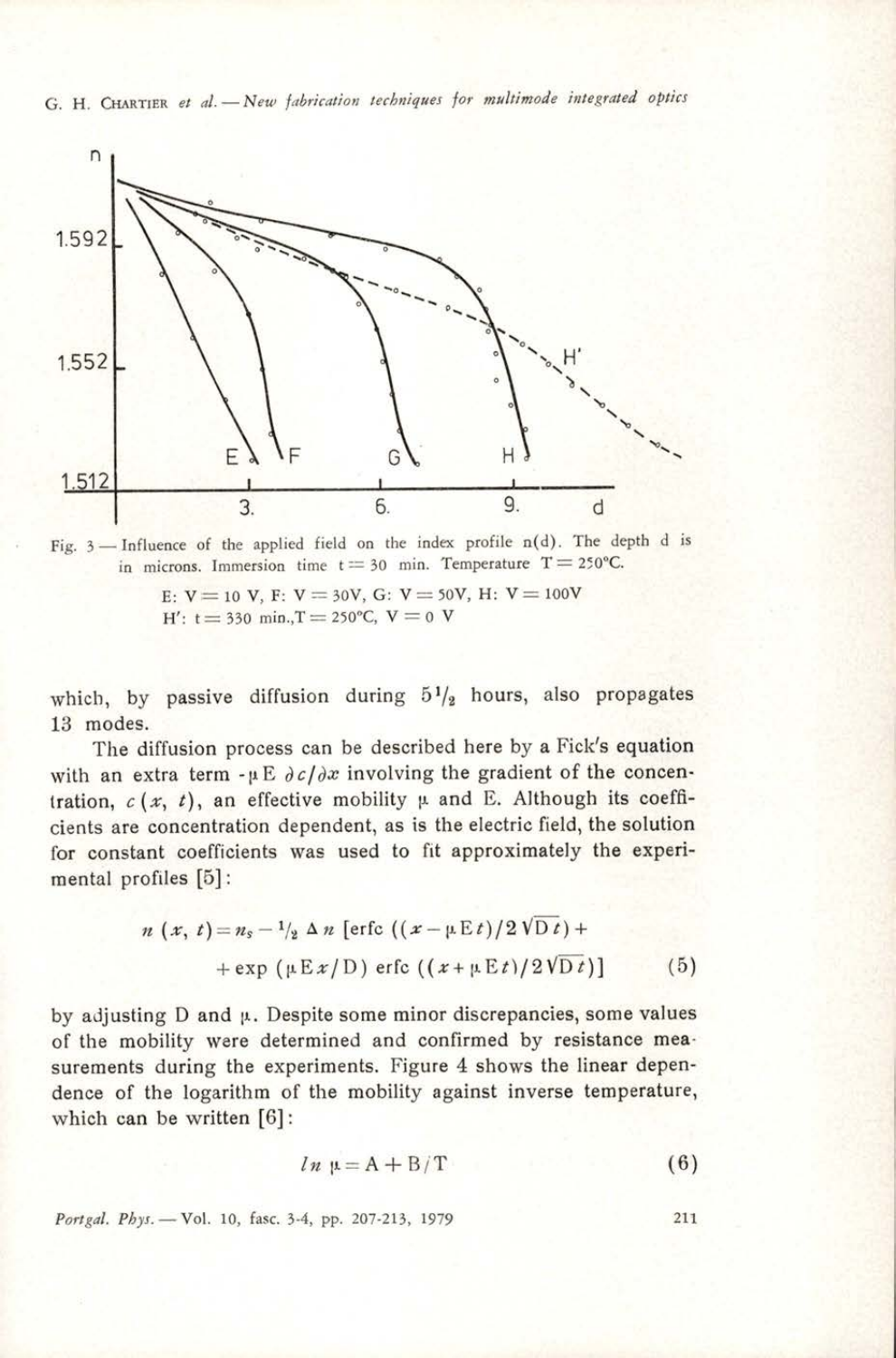G. H. CHARTIER et al. - New fabrication techniques for multimode integrated optics





E:  $V = 10$  V, F:  $V = 30V$ , G:  $V = 50V$ , H:  $V = 100V$ H':  $t = 330$  min.,  $T = 250$ °C,  $V = 0$  V

which, by passive diffusion during  $5\frac{1}{2}$  hours, also propagates 13 modes.

The diffusion process can be described here by a Fick's equation with an extra term - $\mu \to \partial c/\partial x$  involving the gradient of the concentration,  $c(x, t)$ , an effective mobility  $\mu$  and E. Although its coefficients are concentration dependent, as is the electric field, the solution for constant coefficients was used to fit approximately the experimental profiles [5]:

$$
n(x, t) = n_s - \frac{1}{2} \Delta n \left[ \text{erfc} \left( \frac{x - \mu E t}{2 \sqrt{Dt}} \right) + \frac{1}{2} \exp \left( \frac{\mu E x}{D} \right) \text{erfc} \left( \frac{x + \mu E t}{2 \sqrt{Dt}} \right) \right] \tag{5}
$$

c (x, t), an effective mobilit<br>are concentration dependent, as<br>anstant coefficients was used t<br>profiles [5]:<br> $n (x, t) = n_s - \frac{1}{2} \Delta n$  [erfc (<br> $+ \exp (\mu E x/D)$  erl<br>usting D and  $\mu$ . Despite some mobility were determined and<br>ents by adjusting  $D$  and  $\mu$ . Despite some minor discrepancies, some values of the mobility were determined and confirmed by resistance measurements during the experiments. Figure 4 shows the linear dependence of the logarithm of the mobility against inverse temperature, which can be written [6]:

$$
ln \mu = A + B/T \tag{6}
$$

Portgal. Phys. - Vol. 10, fasc. 3-4, pp. 207-213, 1979 211

ı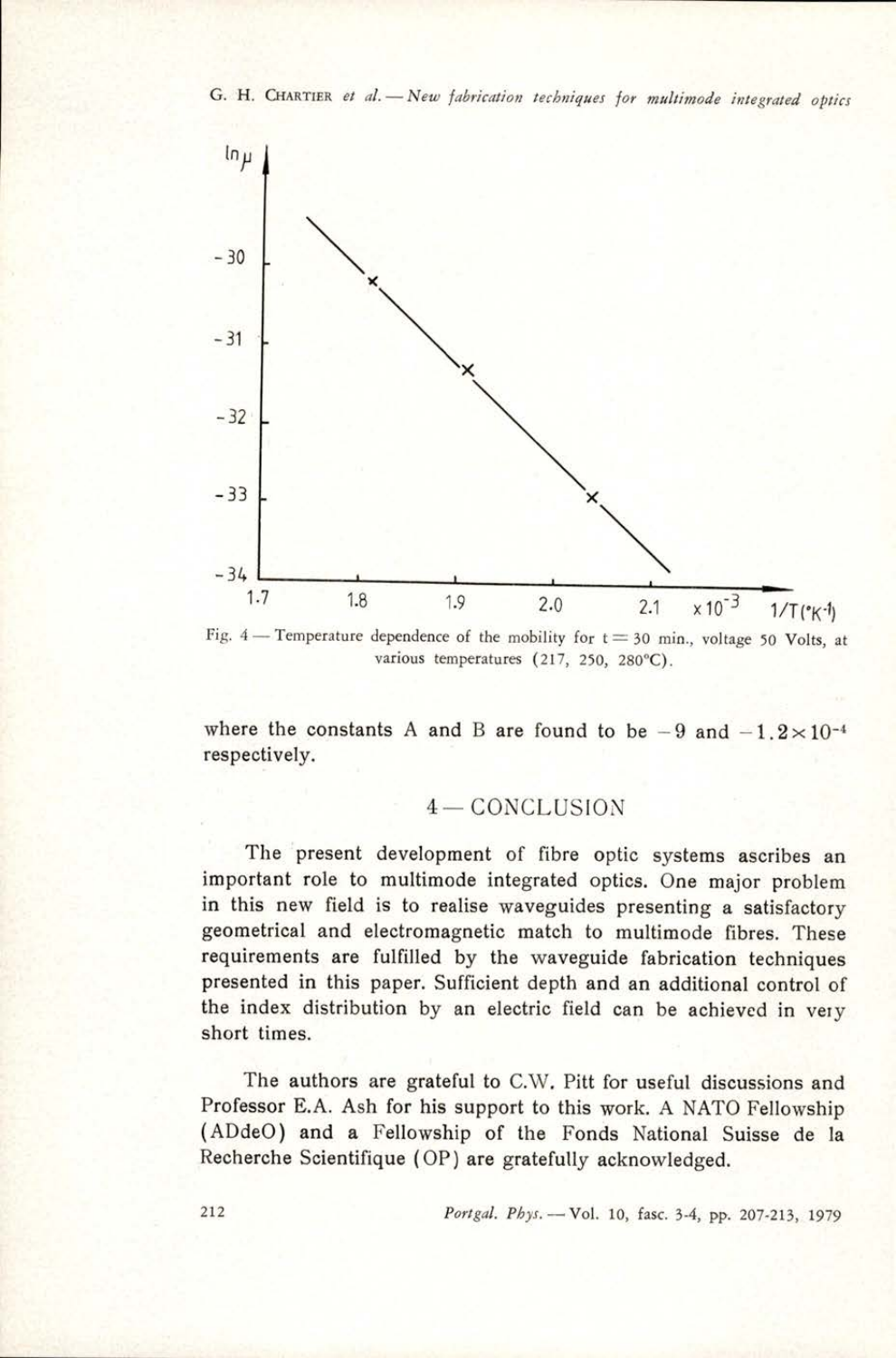\_\_\_\_\_



Fig.  $4$  - Temperature dependence of the mobility for  $t=30$  min., voltage 50 Volts, at various temperatures (217, 250, 280°C).

where the constants A and B are found to be  $-9$  and  $-1.2 \times 10^{-4}$ respectively.

$$
4-\mathrm{CONCLUSION}
$$

The present development of fibre optic systems ascribes an important role to multimode integrated optics. One major problem in this new field is to realise waveguides presenting a satisfactory geometrical and electromagnetic match to multimode fibres. These requirements are fulfilled by the waveguide fabrication techniques presented in this paper. Sufficient depth and an additional control of the index distribution by an electric field can be achieved in very short times.

The authors are grateful to C.W, Pitt for useful discussions and Professor E.A. Ash for his support to this work. A NATO Fellowship (ADdeO) and a Fellowship of the Fonds National Suisse de la Recherche Scientifique (OP) are gratefully acknowledged.

212 Portgal. Phys. -- Vol. 10, fasc. 3-4, pp. 207-213, 1979